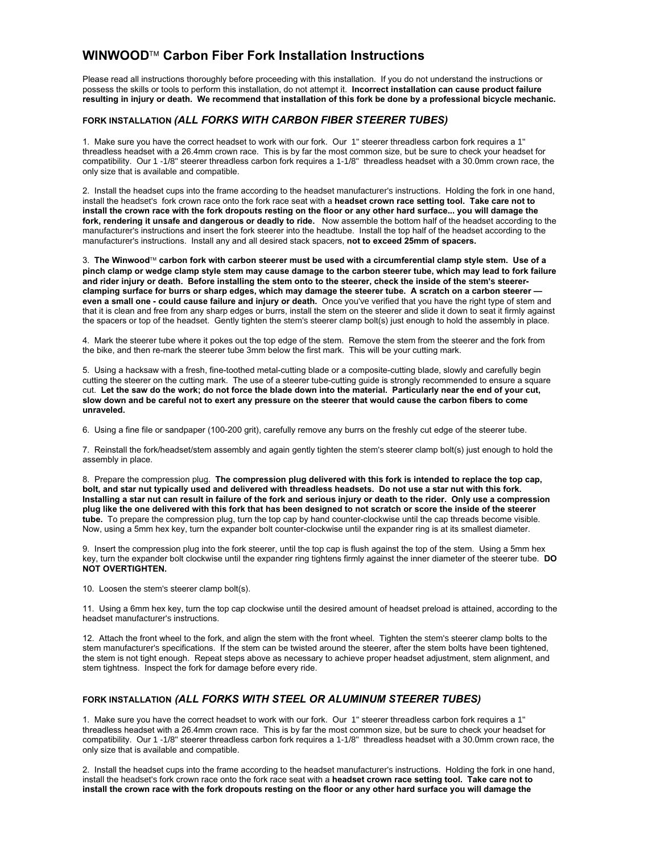# **WINWOOD Carbon Fiber Fork Installation Instructions**

Please read all instructions thoroughly before proceeding with this installation. If you do not understand the instructions or possess the skills or tools to perform this installation, do not attempt it. **Incorrect installation can cause product failure resulting in injury or death. We recommend that installation of this fork be done by a professional bicycle mechanic.**

## **FORK INSTALLATION** *(ALL FORKS WITH CARBON FIBER STEERER TUBES)*

1. Make sure you have the correct headset to work with our fork. Our 1" steerer threadless carbon fork requires a 1" threadless headset with a 26.4mm crown race. This is by far the most common size, but be sure to check your headset for compatibility. Our 1 -1/8" steerer threadless carbon fork requires a 1-1/8" threadless headset with a 30.0mm crown race, the only size that is available and compatible.

2. Install the headset cups into the frame according to the headset manufacturer's instructions. Holding the fork in one hand, install the headset's fork crown race onto the fork race seat with a headset crown race setting tool. Take care not to **install the crown race with the fork dropouts resting on the floor or any other hard surface... you will damage the fork, rendering it unsafe and dangerous or deadly to ride.** Now assemble the bottom half of the headset according to the manufacturer's instructions and insert the fork steerer into the headtube. Install the top half of the headset according to the manufacturer's instructions. Install any and all desired stack spacers, **not to exceed 25mm of spacers.**

3. **The Winwood carbon fork with carbon steerer must be used with a circumferential clamp style stem. Use of a pinch clamp or wedge clamp style stem may cause damage to the carbon steerer tube, which may lead to fork failure** and rider injury or death. Before installing the stem onto to the steerer, check the inside of the stem's steerer**clamping surface for burrs or sharp edges, which may damage the steerer tube. A scratch on a carbon steerer even a small one - could cause failure and injury or death.** Once you 've verified that you have the right type of stem and that it is clean and free from any sharp edges or burrs, install the stem on the steerer and slide it down to seat it firmly against the spacers or top of the headset. Gently tighten the stem's steerer clamp bolt(s) just enough to hold the assembly in place.

4. Mark the steerer tube where it pokes out the top edge of the stem. Remove the stem from the steerer and the fork from the bike, and then re-mark the steerer tube 3mm below the first mark. This will be your cutting mark.

5. Using a hacksaw with a fresh, fine-toothed metal-cutting blade or a composite-cutting blade, slowly and carefully begin cutting the steerer on the cutting mark. The use of a steerer tube-cutting guide is strongly recommended to ensure a square cut. **Let the saw do the work; do not force the blade down into the material. Particularly near the end of your cut, slow down and be careful not to exert any pressure on the steerer that would cause the carbon fibers to come unraveled.**

6. Using a fine file or sandpaper (100-200 grit), carefully remove any burrs on the freshly cut edge of the steerer tube.

7. Reinstall the fork/headset/stem assembly and again gently tighten the stem's steerer clamp bolt(s) just enough to hold the assembly in place.

8.Prepare the compression plug. **The compression plug delivered with this fork is intended to replace the top cap, bolt, and star nut typically used and delivered with threadless headsets. Do not use a star nut with this fork. Installing a star nut can result in failure of the fork and serious injury or death to the rider. Only use a compression plug like the one delivered with this fork that has been designed to not scratch or score the inside of the steerer tube.** To prepare the compression plug, turn the top cap by hand counter-clockwise until the cap threads become visible. Now, using a 5mm hex key, turn the expander bolt counter-clockwise until the expander ring is at its smallest diameter.

9. Insert the compression plug into the fork steerer, until the top cap is flush against the top of the stem. Using a 5mm hex key, turn the expander bolt clockwise until the expander ring tightens firmly against the inner diameter of the steerer tube. **DO NOT OVERTIGHTEN.**

10. Loosen the stem's steerer clamp bolt(s).

11. Using a 6mm hex key, turn the top cap clockwise until the desired amount of headset preload is attained, according to the headset manufacturer's instructions.

12. Attach the front wheel to the fork, and align the stem with the front wheel. Tighten the stem's steerer clamp bolts to the stem manufacturer's specifications. If the stem can be twisted around the steerer, after the stem bolts have been tightened, the stem is not tight enough. Repeat steps above as necessary to achieve proper headset adjustment, stem alignment, and stem tightness. Inspect the fork for damage before every ride.

### **FORK INSTALLATION** *(ALL FORKS WITH STEEL OR ALUMINUM STEERER TUBES)*

1. Make sure you have the correct headset to work with our fork. Our 1" steerer threadless carbon fork requires a 1" threadless headset with a 26.4mm crown race. This is by far the most common size, but be sure to check your headset for compatibility. Our 1 -1/8" steerer threadless carbon fork requires a 1-1/8" threadless headset with a 30.0mm crown race, the only size that is available and compatible.

2. Install the headset cups into the frame according to the headset manufacturer's instructions. Holding the fork in one hand, install the headset's fork crown race onto the fork race seat with a **headset crown race setting tool. Take care not to install the crown race with the fork dropouts resting on the floor or any other hard surface you will damage the**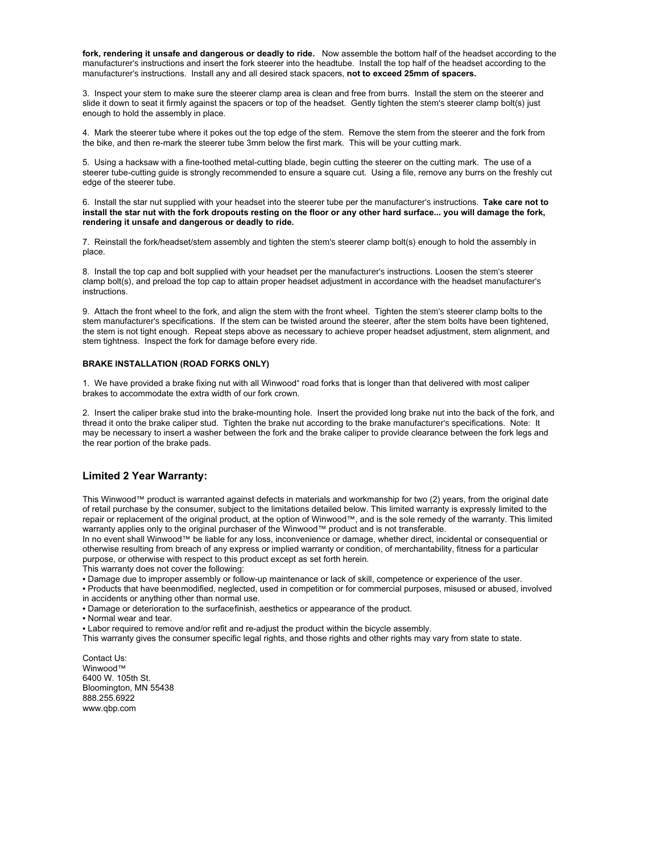**fork, rendering it unsafe and dangerous or deadly to ride.** Now assemble the bottom half of the headset according to the manufacturer's instructions and insert the fork steerer into the headtube. Install the top half of the headset according to the manufacturer's instructions. Install any and all desired stack spacers, **not to exceed 25mm of spacers.**

3. Inspect your stem to make sure the steerer clamp area is clean and free from burrs. Install the stem on the steerer and slide it down to seat it firmly against the spacers or top of the headset. Gently tighten the stem's steerer clamp bolt(s) just enough to hold the assembly in place.

4. Mark the steerer tube where it pokes out the top edge of the stem. Remove the stem from the steerer and the fork from the bike, and then re-mark the steerer tube 3mm below the first mark. This will be your cutting mark.

5. Using a hacksaw with a fine-toothed metal-cutting blade, begin cutting the steerer on the cutting mark. The use of a steerer tube-cutting guide is strongly recommended to ensure a square cut. Using a file, remove any burrs on the freshly cut edge of the steerer tube.

6. Install the star nut supplied with your headset into the steerer tube per the manufacturer's instructions. **Take care not to install the star nut with the fork dropouts resting on the floor or any other hard surface... you will damage the fork, rendering it unsafe and dangerous or deadly to ride.**

7. Reinstall the fork/headset/stem assembly and tighten the stem's steerer clamp bolt(s) enough to hold the assembly in place.

8. Install the top cap and bolt supplied with your headset per the manufacturer's instructions. Loosen the stem's steerer clamp bolt(s), and preload the top cap to attain proper headset adjustment in accordance with the headset manufacturer's instructions.

9. Attach the front wheel to the fork, and align the stem with the front wheel. Tighten the stem's steerer clamp bolts to the stem manufacturer's specifications. If the stem can be twisted around the steerer, after the stem bolts have been tightened, the stem is not tight enough. Repeat steps above as necessary to achieve proper headset adjustment, stem alignment, and stem tightness. Inspect the fork for damage before every ride.

#### **BRAKE INSTALLATION (ROAD FORKS ONLY)**

1. We have provided a brake fixing nut with all Winwood" road forks that is longer than that delivered with most caliper brakes to accommodate the extra width of our fork crown.

2. Insert the caliper brake stud into the brake-mounting hole. Insert the provided long brake nut into the back of the fork, and thread it onto the brake caliper stud. Tighten the brake nut according to the brake manufacturer's specifications. Note: It may be necessary to insert a washer between the fork and the brake caliper to provide clearance between the fork legs and the rear portion of the brake pads.

#### **Limited 2 Year Warranty:**

This Winwood™ product is warranted against defects in materials and workmanship for two (2) years, from the original date of retail purchase by the consumer, subject to the limitations detailed below. This limited warranty is expressly limited to the repair or replacement of the original product, at the option of Winwood™, and is the sole remedy of the warranty. This limited warranty applies only to the original purchaser of the Winwood™ product and is not transferable.

In no event shall Winwood™ be liable for any loss, inconvenience or damage, whether direct, incidental or consequential or otherwise resulting from breach of any express or implied warranty or condition, of merchantability, fitness for a particular purpose, or otherwise with respect to this product except as set forth herein.

This warranty does not cover the following:

• Damage due to improper assembly or follow-up maintenance or lack of skill, competence or experience of the user.

• Products that have beenmodified, neglected, used in competition or for commercial purposes, misused or abused, involved in accidents or anything other than normal use.

• Damage or deterioration to the surfacefinish, aesthetics or appearance of the product.

• Labor required to remove and/or refit and re-adjust the product within the bicycle assembly.

This warranty gives the consumer specific legal rights, and those rights and other rights may vary from state to state.

Contact Us: Winwood™ 6400 W. 105th St. Bloomington, MN 55438 888.255.6922 www.qbp.com

<sup>•</sup> Normal wear and tear.